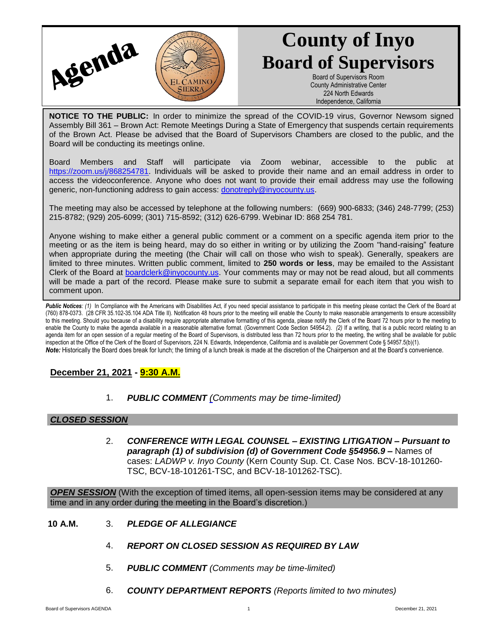

# **County of Inyo Board of Supervisors**

Board of Supervisors Room County Administrative Center 224 North Edwards Independence, California

**NOTICE TO THE PUBLIC:** In order to minimize the spread of the COVID-19 virus, Governor Newsom signed Assembly Bill 361 – Brown Act: Remote Meetings During a State of Emergency that suspends certain requirements of the Brown Act. Please be advised that the Board of Supervisors Chambers are closed to the public, and the Board will be conducting its meetings online.

Board Members and Staff will participate via Zoom webinar, accessible to the public at [https://zoom.us/j/868254781.](https://zoom.us/j/868254781) Individuals will be asked to provide their name and an email address in order to access the videoconference. Anyone who does not want to provide their email address may use the following generic, non-functioning address to gain access: [donotreply@inyocounty.us.](mailto:donotreply@inyocounty.us)

The meeting may also be accessed by telephone at the following numbers: (669) 900-6833; (346) 248-7799; (253) 215-8782; (929) 205-6099; (301) 715-8592; (312) 626-6799. Webinar ID: 868 254 781.

Anyone wishing to make either a general public comment or a comment on a specific agenda item prior to the meeting or as the item is being heard, may do so either in writing or by utilizing the Zoom "hand-raising" feature when appropriate during the meeting (the Chair will call on those who wish to speak). Generally, speakers are limited to three minutes. Written public comment, limited to **250 words or less**, may be emailed to the Assistant Clerk of the Board at [boardclerk@inyocounty.us.](mailto:boardclerk@inyocounty.us) Your comments may or may not be read aloud, but all comments will be made a part of the record. Please make sure to submit a separate email for each item that you wish to comment upon.

Public Notices: (1) In Compliance with the Americans with Disabilities Act, if you need special assistance to participate in this meeting please contact the Clerk of the Board at (760) 878-0373. (28 CFR 35.102-35.104 ADA Title II). Notification 48 hours prior to the meeting will enable the County to make reasonable arrangements to ensure accessibility to this meeting. Should you because of a disability require appropriate alternative formatting of this agenda, please notify the Clerk of the Board 72 hours prior to the meeting to enable the County to make the agenda available in a reasonable alternative format. (Government Code Section 54954.2). *(2)* If a writing, that is a public record relating to an agenda item for an open session of a regular meeting of the Board of Supervisors, is distributed less than 72 hours prior to the meeting, the writing shall be available for public inspection at the Office of the Clerk of the Board of Supervisors, 224 N. Edwards, Independence, California and is available per Government Code § 54957.5(b)(1). *Note:* Historically the Board does break for lunch; the timing of a lunch break is made at the discretion of the Chairperson and at the Board's convenience.

## **December 21, 2021 - 9:30 A.M.**

1. *PUBLIC COMMENT [\(C](https://inyococa.v8.civicclerk.com/Meetings/Agenda/ItemFields?id=7609)omments may be time-limited)*

## *CLOSED SESSION*

2. *CONFERENCE WITH LEGAL COUNSEL – EXISTING LITIGATION – Pursuant to paragraph (1) of subdivision (d) of Government Code §54956.9 –* Names of cases: *LADWP v. Inyo County* (Kern County Sup. Ct. Case Nos. BCV-18-101260- TSC, BCV-18-101261-TSC, and BCV-18-101262-TSC).

**OPEN SESSION** (With the exception of timed items, all open-session items may be considered at any time and in any order during the meeting in the Board's discretion.)

- **10 A.M.** 3. *PLEDGE OF ALLEGIANCE*
	- 4. *REPORT ON CLOSED SESSION AS REQUIRED BY LAW*
	- 5. *PUBLIC COMMENT (Comments may be time-limited)*
	- 6. *COUNTY DEPARTMENT REPORTS (Reports limited to two minutes)*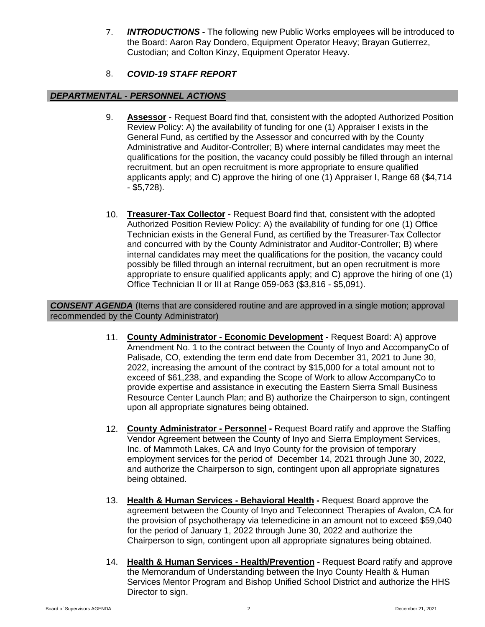7. *INTRODUCTIONS* **-** The following new Public Works employees will be introduced to the Board: Aaron Ray Dondero, Equipment Operator Heavy; Brayan Gutierrez, Custodian; and Colton Kinzy, Equipment Operator Heavy.

# 8. *COVID-19 STAFF REPORT*

### *DEPARTMENTAL - PERSONNEL ACTIONS*

- 9. **Assessor -** Request Board find that, consistent with the adopted Authorized Position Review Policy: A) the availability of funding for one (1) Appraiser I exists in the General Fund, as certified by the Assessor and concurred with by the County Administrative and Auditor-Controller; B) where internal candidates may meet the qualifications for the position, the vacancy could possibly be filled through an internal recruitment, but an open recruitment is more appropriate to ensure qualified applicants apply; and C) approve the hiring of one (1) Appraiser I, Range 68 (\$4,714 - \$5,728).
- 10. **Treasurer-Tax Collector -** Request Board find that, consistent with the adopted Authorized Position Review Policy: A) the availability of funding for one (1) Office Technician exists in the General Fund, as certified by the Treasurer-Tax Collector and concurred with by the County Administrator and Auditor-Controller; B) where internal candidates may meet the qualifications for the position, the vacancy could possibly be filled through an internal recruitment, but an open recruitment is more appropriate to ensure qualified applicants apply; and C) approve the hiring of one (1) Office Technician II or III at Range 059-063 (\$3,816 - \$5,091).

*CONSENT AGENDA* (Items that are considered routine and are approved in a single motion; approval recommended by the County Administrator)

- 11. **County Administrator - Economic Development -** Request Board: A) approve Amendment No. 1 to the contract between the County of Inyo and AccompanyCo of Palisade, CO, extending the term end date from December 31, 2021 to June 30, 2022, increasing the amount of the contract by \$15,000 for a total amount not to exceed of \$61,238, and expanding the Scope of Work to allow AccompanyCo to provide expertise and assistance in executing the Eastern Sierra Small Business Resource Center Launch Plan; and B) authorize the Chairperson to sign, contingent upon all appropriate signatures being obtained.
- 12. **County Administrator - Personnel -** Request Board ratify and approve the Staffing Vendor Agreement between the County of Inyo and Sierra Employment Services, Inc. of Mammoth Lakes, CA and Inyo County for the provision of temporary employment services for the period of December 14, 2021 through June 30, 2022, and authorize the Chairperson to sign, contingent upon all appropriate signatures being obtained.
- 13. **Health & Human Services - Behavioral Health -** Request Board approve the agreement between the County of Inyo and Teleconnect Therapies of Avalon, CA for the provision of psychotherapy via telemedicine in an amount not to exceed \$59,040 for the period of January 1, 2022 through June 30, 2022 and authorize the Chairperson to sign, contingent upon all appropriate signatures being obtained.
- 14. **Health & Human Services - Health/Prevention -** Request Board ratify and approve the Memorandum of Understanding between the Inyo County Health & Human Services Mentor Program and Bishop Unified School District and authorize the HHS Director to sign.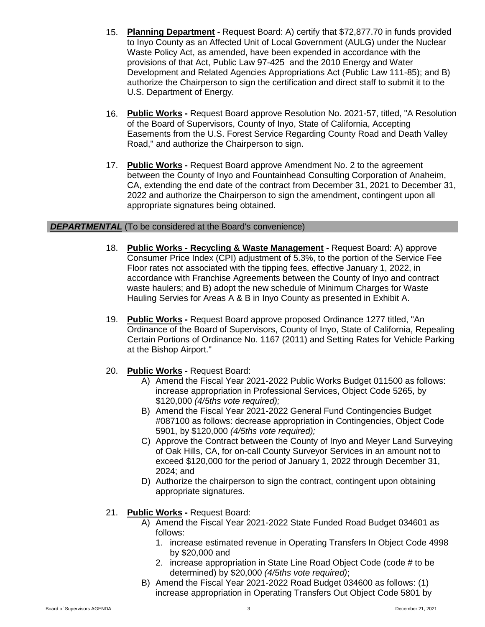- 15. **Planning Department -** Request Board: A) certify that \$72,877.70 in funds provided to Inyo County as an Affected Unit of Local Government (AULG) under the Nuclear Waste Policy Act, as amended, have been expended in accordance with the provisions of that Act, Public Law 97-425 and the 2010 Energy and Water Development and Related Agencies Appropriations Act (Public Law 111-85); and B) authorize the Chairperson to sign the certification and direct staff to submit it to the U.S. Department of Energy.
- 16. **Public Works -** Request Board approve Resolution No. 2021-57, titled, "A Resolution of the Board of Supervisors, County of Inyo, State of California, Accepting Easements from the U.S. Forest Service Regarding County Road and Death Valley Road," and authorize the Chairperson to sign.
- 17. **Public Works -** Request Board approve Amendment No. 2 to the agreement between the County of Inyo and Fountainhead Consulting Corporation of Anaheim, CA, extending the end date of the contract from December 31, 2021 to December 31, 2022 and authorize the Chairperson to sign the amendment, contingent upon all appropriate signatures being obtained.

#### **DEPARTMENTAL** (To be considered at the Board's convenience)

- 18. **Public Works - Recycling & Waste Management -** Request Board: A) approve Consumer Price Index (CPI) adjustment of 5.3%, to the portion of the Service Fee Floor rates not associated with the tipping fees, effective January 1, 2022, in accordance with Franchise Agreements between the County of Inyo and contract waste haulers; and B) adopt the new schedule of Minimum Charges for Waste Hauling Servies for Areas A & B in Inyo County as presented in Exhibit A.
- 19. **Public Works -** Request Board approve proposed Ordinance 1277 titled, "An Ordinance of the Board of Supervisors, County of Inyo, State of California, Repealing Certain Portions of Ordinance No. 1167 (2011) and Setting Rates for Vehicle Parking at the Bishop Airport."
- 20. **Public Works -** Request Board:
	- A) Amend the Fiscal Year 2021-2022 Public Works Budget 011500 as follows: increase appropriation in Professional Services, Object Code 5265, by \$120,000 *(4/5ths vote required);*
	- B) Amend the Fiscal Year 2021-2022 General Fund Contingencies Budget #087100 as follows: decrease appropriation in Contingencies, Object Code 5901, by \$120,000 *(4/5ths vote required);*
	- C) Approve the Contract between the County of Inyo and Meyer Land Surveying of Oak Hills, CA, for on-call County Surveyor Services in an amount not to exceed \$120,000 for the period of January 1, 2022 through December 31, 2024; and
	- D) Authorize the chairperson to sign the contract, contingent upon obtaining appropriate signatures.
- 21. **Public Works -** Request Board:
	- A) Amend the Fiscal Year 2021-2022 State Funded Road Budget 034601 as follows:
		- 1. increase estimated revenue in Operating Transfers In Object Code 4998 by \$20,000 and
		- 2. increase appropriation in State Line Road Object Code (code # to be determined) by \$20,000 *(4/5ths vote required)*;
	- B) Amend the Fiscal Year 2021-2022 Road Budget 034600 as follows: (1) increase appropriation in Operating Transfers Out Object Code 5801 by